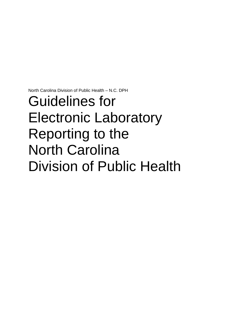North Carolina Division of Public Health – N.C. DPH

# Guidelines for Electronic Laboratory Reporting to the North Carolina Division of Public Health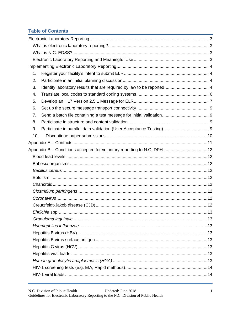# **Table of Contents**

| 1.                                                                          |  |
|-----------------------------------------------------------------------------|--|
| 2.                                                                          |  |
| Identify laboratory results that are required by law to be reported 4<br>3. |  |
| 4.                                                                          |  |
| 5.                                                                          |  |
| 6.                                                                          |  |
| 7.                                                                          |  |
| 8.                                                                          |  |
| 9.                                                                          |  |
| 10.                                                                         |  |
|                                                                             |  |
| Appendix B - Conditions accepted for voluntary reporting to N.C. DPH12      |  |
|                                                                             |  |
|                                                                             |  |
|                                                                             |  |
|                                                                             |  |
|                                                                             |  |
|                                                                             |  |
|                                                                             |  |
|                                                                             |  |
|                                                                             |  |
|                                                                             |  |
|                                                                             |  |
|                                                                             |  |
|                                                                             |  |
|                                                                             |  |
|                                                                             |  |
|                                                                             |  |
|                                                                             |  |
|                                                                             |  |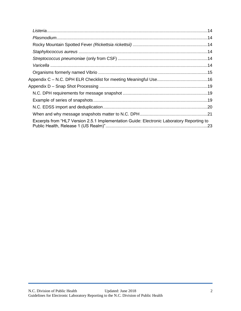| Appendix D – Snap Shot Processing ………………………………………………………………………………19                        |  |
|-------------------------------------------------------------------------------------------|--|
|                                                                                           |  |
|                                                                                           |  |
|                                                                                           |  |
|                                                                                           |  |
| Excerpts from "HL7 Version 2.5.1 Implementation Guide: Electronic Laboratory Reporting to |  |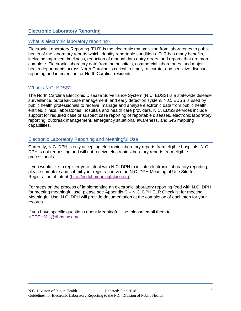# <span id="page-3-0"></span>**Electronic Laboratory Reporting**

## <span id="page-3-1"></span>What is electronic laboratory reporting?

Electronic Laboratory Reporting (ELR) is the electronic transmission from laboratories to public health of the laboratory reports which identify reportable conditions. ELR has many benefits, including improved timeliness, reduction of manual data entry errors, and reports that are more complete. Electronic laboratory data from the hospitals, commercial laboratories, and major health departments across North Carolina is critical to timely, accurate, and sensitive disease reporting and intervention for North Carolina residents.

## <span id="page-3-2"></span>What is N.C. EDSS?

The North Carolina Electronic Disease Surveillance System (N.C. EDSS) is a statewide disease surveillance, outbreak/case management, and early detection system. N.C. EDSS is used by public health professionals to receive, manage and analyze electronic data from public health entities, clinics, laboratories, hospitals and health care providers. N.C. EDSS services include support for required case or suspect case reporting of reportable diseases, electronic laboratory reporting, outbreak management, emergency situational awareness, and GIS mapping capabilities.

## <span id="page-3-3"></span>Electronic Laboratory Reporting and Meaningful Use

Currently, N.C. DPH is only accepting electronic laboratory reports from eligible hospitals. N.C. DPH is not requesting and will not receive electronic laboratory reports from eligible professionals.

If you would like to register your intent with N.C. DPH to initiate electronic laboratory reporting, please complete and submit your registration via the N.C. DPH Meaningful Use Site for Registration of Intent [\(http://ncdphmeaningfuluse.org\)](http://ncdphmeaningfuluse.org/).

For steps on the process of implementing an electronic laboratory reporting feed with N.C. DPH for meeting meaningful use, please see Appendix C – [N.C. DPH ELR Checklist](#page-16-0) for meeting [Meaningful Use.](#page-16-0) N.C. DPH will provide documentation at the completion of each step for your records.

If you have specific questions about Meaningful Use, please email them to [NCDPHMU@dhhs.nc.gov.](mailto:NCDPHMU@dhhs.nc.gov)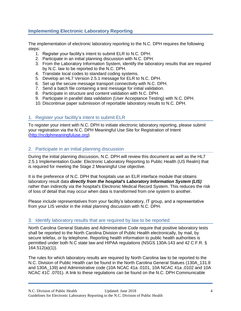# <span id="page-4-0"></span>**Implementing Electronic Laboratory Reporting**

The implementation of electronic laboratory reporting to the N.C. DPH requires the following steps:

- 1. Register your facility's intent to submit ELR to N.C. DPH.
- 2. Participate in an initial planning discussion with N.C. DPH.
- 3. From the Laboratory Information System, identify the laboratory results that are required by N.C. law to be reported to the N.C. DPH.
- 4. Translate local codes to standard coding systems.
- 5. Develop an HL7 Version 2.5.1 message for ELR to N.C. DPH.
- 6. Set up the secure message transport connectivity with N.C. DPH.
- 7. Send a batch file containing a test message for initial validation.
- 8. Participate in structure and content validation with N.C. DPH.
- 9. Participate in parallel data validation (User Acceptance Testing) with N.C. DPH.
- 10. Discontinue paper submission of reportable laboratory results to N.C. DPH.

# <span id="page-4-1"></span>1. Register your facility's intent to submit ELR

To register your intent with N.C. DPH to initiate electronic laboratory reporting, please submit your registration via the N.C. DPH Meaningful Use Site for Registration of Intent [\(http://ncdphmeaningfuluse.org\)](http://ncdphmeaningfuluse.org/).

## <span id="page-4-2"></span>2. Participate in an initial planning discussion

During the initial planning discussion, N.C. DPH will review this document as well as the HL7 2.5.1 Implementation Guide: Electronic Laboratory Reporting to Public Health (US Realm) that is required for meeting the Stage 2 Meaningful Use objective.

It is the preference of N.C. DPH that hospitals use an ELR interface module that obtains laboratory result data *directly from the hospital's Laboratory Information System (LIS)* rather than indirectly via the hospital's Electronic Medical Record System. This reduces the risk of loss of detail that may occur when data is transformed from one system to another.

Please include representatives from your facility's laboratory, IT group, and a representative from your LIS vendor in the initial planning discussion with N.C. DPH.

## <span id="page-4-3"></span>3. Identify laboratory results that are required by law to be reported

North Carolina General Statutes and Administrative Code require that positive laboratory tests shall be reported to the North Carolina Division of Public Health electronically, by mail, by secure telefax, or by telephone. Reporting health information to public health authorities is permitted under both N.C state law and HIPAA regulations (NSGS 130A-143 and 42 C.F.R. § 164.512(a)(1)).

The rules for which laboratory results are required by North Carolina law to be reported to the N.C. Division of Public Health can be found in the North Carolina General Statues (130A\_131.8 and 130A\_139) and Administrative code (10A NCAC 41a .0101, 10A NCAC 41a .0102 and 10A NCAC 41C .0701). A link to these regulations can be found on the N.C. DPH Communicable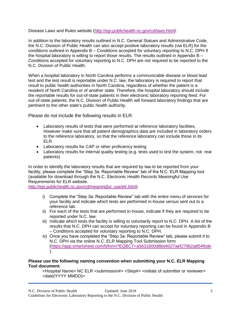Disease Laws and Rules website [\(http://epi.publichealth.nc.gov/cd/laws.html\)](http://epi.publichealth.nc.gov/cd/laws.html).

In addition to the laboratory results outlined in N.C. General Statues and Administrative Code, the N.C. Division of Public Health can also accept positive laboratory results (via ELR) for the conditions outlined in Appendix B – [Conditions accepted for voluntary reporting to N.C. DPH](#page-12-0) if the hospital laboratory is willing to report those results. The results outlined in [Appendix B –](#page-12-0) [Conditions accepted for voluntary reporting to N.C. DPH](#page-12-0) are not required to be reported to the N.C. Division of Public Health.

When a hospital laboratory in North Carolina performs a communicable disease or blood lead test and the test result is reportable under N.C. law, the laboratory is required to report that result to public health authorities in North Carolina, regardless of whether the patient is a resident of North Carolina or of another state. Therefore, the hospital laboratory should include the reportable results for out-of-state patients in their electronic laboratory reporting feed. For out-of-state patients, the N.C. Division of Public Health will forward laboratory findings that are pertinent to the other state's public health authority.

Please do not include the following results in ELR:

- Laboratory results of tests that were performed at reference laboratory facilities. However make sure that all patient demographics data are included in laboratory orders to the reference laboratory, so that the reference laboratory can include those in its ELR.
- Laboratory results for CAP or other proficiency testing
- Laboratory results for internal quality testing (e.g. tests used to test the system, not real patients)

In order to identify the laboratory results that are required by law to be reported from your facility, please complete the "Step 3a: Reportable Review" tab of the N.C. ELR Mapping tool (available for download through the N.C. Electronic Health Records Meaningful Use Requirements for ELR website.

[http://epi.publichealth.nc.gov/cd/meaningful\\_use/elr.html\)](http://epi.publichealth.nc.gov/cd/meaningful_use/elr.html).

- i) Complete the "Step 3a: Reportable Review" tab with the entire menu of services for your facility and indicate which tests are performed in-house versus sent out to a reference lab.
- ii) For each of the tests that are performed in-house, indicate if they are required to be reported under N.C. law.
- iii) Indicate which tests the facility is willing to voluntarily report to N.C. DPH. A list of the results that N.C. DPH can accept for voluntary reporting can be found in [Appendix B](#page-12-0)  – [Conditions accepted for voluntary reporting to N.C. DPH.](#page-12-0)
- iv) Once you have completed the "Step 3a: Reportable Review" tab, please submit it to N.C. DPH via the online N.C. ELR Mapping Tool Submission form [\(https://app.smartsheet.com/b/form?EQBCT=a5631600d8bd4027aef279b2a854fbde](https://app.smartsheet.com/b/form?EQBCT=a5631600d8bd4027aef279b2a854fbde) ).

## **Please use the following naming convention when submitting your N.C. ELR Mapping Tool document.**

<Hospital Name> NC ELR <submission#> <Step#> <initials of submitter or reviewer> <date(YYYY MMDD)>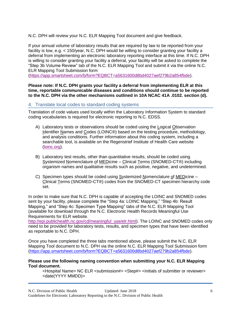N.C. DPH will review your N.C. ELR Mapping Tool document and give feedback.

If your annual volume of laboratory results that are required by law to be reported from your facility is low, e.g. < 150/year, N.C. DPH would be willing to consider granting your facility a deferral from implementing an electronic laboratory reporting interface at this time. If N.C. DPH is willing to consider granting your facility a deferral, your facility will be asked to complete the "Step 3b Volume Review" tab of the N.C. ELR Mapping Tool and submit it via the online N.C. ELR Mapping Tool Submission form

[\(https://app.smartsheet.com/b/form?EQBCT=a5631600d8bd4027aef279b2a854fbde\)](https://app.smartsheet.com/b/form?EQBCT=a5631600d8bd4027aef279b2a854fbde).

**Please note: If N.C. DPH grants your facility a deferral from implementing ELR at this time, reportable communicable diseases and conditions should continue to be reported to the N.C. DPH via the other mechanisms outlined in 10A NCAC 41A .0102. section (d).**

## <span id="page-6-0"></span>4. Translate local codes to standard coding systems

Translation of code values used locally within the Laboratory Information System to standard coding vocabularies is required for electronic reporting to N.C. EDSS.

- A) Laboratory tests or observations should be coded using the Logical Observation Identifier Names and Codes (LOINC®) based on the testing procedure, methodology, and analysis conditions. Further information about this coding system, including a searchable tool, is available on the Regenstrief Institute of Health Care website [\(loinc.org\)](http://loinc.org/).
- B) Laboratory test results, other than quantitative results, should be coded using Systemized Nomenclature of MEDicine - Clinical Terms (SNOMED-CT®) including organism names and qualitative results such as positive, negative, and undetermined.
- C) Specimen types should be coded using Systemized Nomenclature of MEDicine -Clinical Terms (SNOMED-CT®) codes from the SNOMED-CT specimen hierarchy code set.

In order to make sure that N.C. DPH is capable of accepting the LOINC and SNOMED codes sent by your facility, please complete the "Step 4a: LOINC Mapping," "Step 4b: Result Mapping," and "Step 4c: Specimen Type Mapping" tabs of the N.C. ELR Mapping Tool (available for download through the N.C. Electronic Health Records Meaningful Use Requirements for ELR website.

[http://epi.publichealth.nc.gov/cd/meaningful\\_use/elr.html\)](http://epi.publichealth.nc.gov/cd/meaningful_use/elr.html). The LOINC and SNOMED codes only need to be provided for laboratory tests, results, and specimen types that have been identified as reportable to N.C. DPH.

Once you have completed the three tabs mentioned above, please submit the N.C. ELR Mapping Tool document to N.C. DPH via the online N.C. ELR Mapping Tool Submission form [\(https://app.smartsheet.com/b/form?EQBCT=a5631600d8bd4027aef279b2a854fbde\)](https://app.smartsheet.com/b/form?EQBCT=a5631600d8bd4027aef279b2a854fbde).

#### **Please use the following naming convention when submitting your N.C. ELR Mapping Tool document.**

<Hospital Name> NC ELR <submission#> <Step#> <initials of submitter or reviewer> <date(YYYY MMDD)>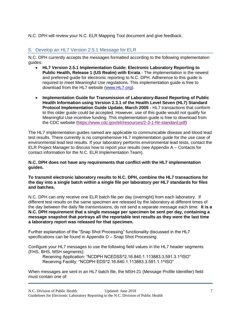N.C. DPH will review your N.C. ELR Mapping Tool document and give feedback.

# <span id="page-7-0"></span>5. Develop an HL7 Version 2.5.1 Message for ELR

N.C. DPH currently accepts the messages formatted according to the following implementation guides:

- **HL7 Version 2.5.1 Implementation Guide: Electronic Laboratory Reporting to Public Health, Release 1 (US Realm) with Errata** - The implementation is the newest and preferred guide for electronic reporting to N.C. DPH. Adherence to this guide is required to meet Meaningful Use regulations. This implementation guide is free to download from the HL7 website [\(www.HL7.org\)](http://www.hl7.org/).
- **Implementation Guide for Transmission of Laboratory-Based Reporting of Public Health Information using Version 2.3.1 of the Health Level Seven (HL7) Standard Protocol Implementation Guide Update, March 2005** - HL7 transactions that conform to this older guide could be accepted. However, use of this guide would not qualify for Meaningful Use incentive funding. This implementation guide is free to download from the CDC website [\(https://www.cdc.gov/elr/resources/2-3-1-hlr-standard.pdf\)](https://www.cdc.gov/elr/resources/2-3-1-hlr-standard.pdf)

The HL7 implementation guides named are applicable to communicable disease and blood lead test results. There currently is no comprehensive HL7 implementation guide for the use case of environmental lead test results. If your laboratory performs environmental lead tests, contact the ELR Project Manager to discuss how to report your results (see [Appendix A –](#page-11-0) Contacts for contact information for the N.C. ELR Implementation Team).

**N.C. DPH does not have any requirements that conflict with the HL7 implementation guides.**

**To transmit electronic laboratory results to N.C. DPH, combine the HL7 transactions for the day into a single batch within a single file per laboratory per HL7 standards for files and batches.**

N.C. DPH can only receive one ELR batch file per day (overnight) from each laboratory. If different test results on the same specimen are released by the laboratory at different times of the day between the daily file transmissions, do not send a separate message each time. **It is a N.C. DPH requirement that a single message per specimen be sent per day, containing a message snapshot that portrays all the reportable test results as they were the last time a laboratory report was released for that specimen.**

Further explanation of the "Snap Shot Processing" functionality discussed in the HL7 specifications can be found in Appendix D – [Snap Shot Processing.](#page-19-0)

Configure your HL7 messages to use the following field values in the HL7 header segments (FHS, BHS, MSH segments):

Receiving Application: "NCDPH NCEDSS^2.16.840.1.113883.3.591.3.1^ISO" Receiving Facility: "NCDPH EDS^2.16.840.1.113883.3.591.1.1^ISO"

When messages are sent in an HL7 batch file, the MSH-21 (Message Profile Identifier) field must contain one of: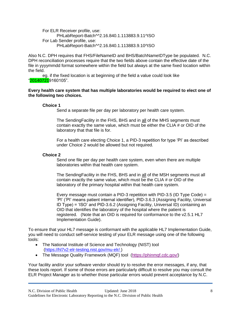For ELR Receiver profile, use: PHLabReport-Batch^^2.16.840.1.113883.9.11^ISO For Lab Sender profile, use: PHLabReport-Batch^^2.16.840.1.113883.9.10^ISO

Also N.C. DPH requires that FHS/FileNameID and BHS/BatchNameIDType be populated. N.C. DPH reconciliation processes require that the two fields above contain the effective date of the file in yyyymmdd format somewhere within the field but always at the same fixed location within the field.

eg. if the fixed location is at beginning of the field a value could look like "201407219160105".

#### **Every health care system that has multiple laboratories would be required to elect one of the following two choices.**

#### **Choice 1**

Send a separate file per day per laboratory per health care system.

The SendingFacility in the FHS, BHS and in all of the MHS segments must contain exactly the same value, which must be either the CLIA # or OID of the laboratory that that file is for.

For a health care electing Choice 1, a PID-3 repetition for type 'PI' as described under Choice 2 would be allowed but not required.

#### **Choice 2**

Send one file per day per health care system, even when there are multiple laboratories within that health care system.

The SendingFacility in the FHS, BHS and in all of the MSH segments must all contain exactly the same value, which must be the CLIA # or OID of the laboratory of the primary hospital within that health care system.

Every message must contain a PID-3 repetition with PID-3.5 (ID Type Code) = 'PI' ('PI' means patient internal identifier), PID-3.6.3 (Assigning Facility, Universal ID Type) = 'ISO' and PID-3.6.2 (Assigning Facility, Universal ID) containing an OID that identifies the laboratory of the hospital where the patient is registered. (Note that an OID is required for conformance to the v2.5.1 HL7 Implementation Guide).

To ensure that your HL7 message is conformant with the applicable HL7 Implementation Guide, you will need to conduct self-service testing of your ELR message using one of the following tools:

- The National Institute of Science and Technology (NIST) tool [\(https://hl7v2-elr-testing.nist.gov/mu-elr/ \)](https://hl7v2-elr-testing.nist.gov/mu-elr/)
- The Message Quality Framework (MQF) tool [\(https://phinmqf.cdc.gov/\)](https://phinmqf.cdc.gov/)

Your facility and/or your software vendor should try to resolve the error messages, if any, that these tools report. If some of those errors are particularly difficult to resolve you may consult the ELR Project Manager as to whether those particular errors would prevent acceptance by N.C.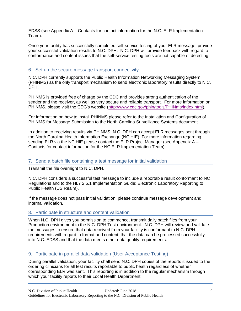EDSS (see [Appendix A –](#page-11-0) Contacts for contact information for the N.C. ELR Implementation Team).

Once your facility has successfully completed self-service testing of your ELR message, provide your successful validation results to N.C. DPH. N.C. DPH will provide feedback with regard to conformance and content issues that the self-service testing tools are not capable of detecting.

## <span id="page-9-0"></span>6. Set up the secure message transport connectivity

N.C. DPH currently supports the Public Health Information Networking Messaging System (PHINMS) as the only transport mechanism to send electronic laboratory results directly to N.C. DPH.

PHINMS is provided free of charge by the CDC and provides strong authentication of the sender and the receiver, as well as very secure and reliable transport. For more information on PHINMS, please visit the CDC's website [\(http://www.cdc.gov/phin/tools/PHINms/index.html\)](http://www.cdc.gov/phin/tools/PHINms/index.html).

For information on how to install PHINMS please refer to the Installation and Configuration of PHINMS for Message Submission to the North Carolina Surveillance Systems document.

In addition to receiving results via PHINMS, N.C. DPH can accept ELR messages sent through the North Carolina Health Information Exchange (NC HIE). For more information regarding sending ELR via the NC HIE please contact the ELR Project Manager (see [Appendix A –](#page-11-0) [Contacts](#page-11-0) for contact information for the NC ELR Implementation Team).

## <span id="page-9-1"></span>7. Send a batch file containing a test message for initial validation

Transmit the file overnight to N.C. DPH.

N.C. DPH considers a successful test message to include a reportable result conformant to NC Regulations and to the HL7 2.5.1 Implementation Guide: Electronic Laboratory Reporting to Public Health (US Realm).

If the message does not pass initial validation, please continue message development and internal validation.

## <span id="page-9-2"></span>8. Participate in structure and content validation

When N.C. DPH gives you permission to commence, transmit daily batch files from your Production environment to the N.C. DPH Test environment. N.C. DPH will review and validate the messages to ensure that data received from your facility is conformant to N.C. DPH requirements with regard to format and content, that the data can be processed successfully into N.C. EDSS and that the data meets other data quality requirements.

## <span id="page-9-3"></span>9. Participate in parallel data validation (User Acceptance Testing)

During parallel validation, your facility shall send N.C. DPH copies of the reports it issued to the ordering clinicians for all test results reportable to public health regardless of whether corresponding ELR was sent. This reporting is in addition to the regular mechanism through which your facility reports to their Local Health Department.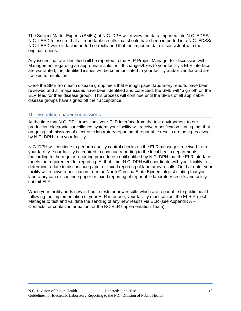The Subject Matter Experts (SMEs) at N.C. DPH will review the data imported into N.C. EDSS/ N.C. LEAD to assure that all reportable results that should have been imported into N.C. EDSS/ N.C. LEAD were in fact imported correctly and that the imported data is consistent with the original reports.

Any issues that are identified will be reported to the ELR Project Manager for discussion with Management regarding an appropriate solution. If changes/fixes to your facility's ELR interface are warranted, the identified issues will be communicated to your facility and/or vendor and are tracked to resolution.

Once the SME from each disease group feels that enough paper laboratory reports have been reviewed and all major issues have been identified and corrected, the SME will "Sign off" on the ELR feed for their disease group. This process will continue until the SMEs of all applicable disease groups have signed off their acceptance.

## <span id="page-10-0"></span>10.Discontinue paper submissions

At the time that N.C. DPH transitions your ELR interface from the test environment to our production electronic surveillance system, your facility will receive a notification stating that that on-going submissions of electronic laboratory reporting of reportable results are being received by N.C. DPH from your facility.

N.C. DPH will continue to perform quality control checks on the ELR messages received from your facility. Your facility is required to continue reporting to the local health departments (according to the regular reporting procedures) until notified by N.C. DPH that the ELR interface meets the requirement for reporting. At that time, N.C. DPH will coordinate with your facility to determine a date to discontinue paper or faxed reporting of laboratory results. On that date, your facility will receive a notification from the North Carolina State Epidemiologist stating that your laboratory can discontinue paper or faxed reporting of reportable laboratory results and solely submit ELR.

When your facility adds new in-house tests or new results which are reportable to public health following the implementation of your ELR interface, your facility must contact the ELR Project Manager to test and validate the sending of any new results via ELR (see Appendix  $A -$ [Contacts](#page-11-0) for contact information for the NC ELR Implementation Team).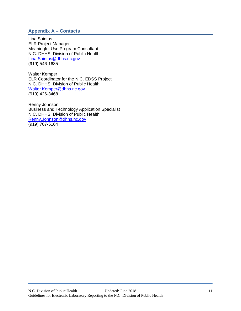# <span id="page-11-0"></span>**Appendix A – Contacts**

Lina Saintus ELR Project Manager Meaningful Use Program Consultant N.C. DHHS, Division of Public Health [Lina.Saintus@dhhs.nc.gov](mailto:Lina.Saintus@dhhs.nc.gov) (919) 546-1635

Walter Kemper ELR Coordinator for the N.C. EDSS Project N.C. DHHS, Division of Public Health [Walter.Kemper@dhhs.nc.gov](mailto:Walter.Kemper@dhhs.nc.gov) (919) 426-3468

Renny Johnson Business and Technology Application Specialist N.C. DHHS, Division of Public Health [Renny.Johnson@dhhs.nc.gov](mailto:Renny.Johnson@dhhs.nc.gov) (919) 707-5164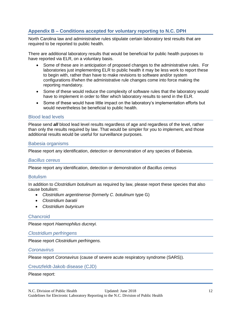# <span id="page-12-0"></span>**Appendix B – Conditions accepted for voluntary reporting to N.C. DPH**

North Carolina law and administrative rules stipulate certain laboratory test results that are required to be reported to public health.

There are additional laboratory results that would be beneficial for public health purposes to have reported via ELR, on a voluntary basis.

- Some of these are in anticipation of proposed changes to the administrative rules. For laboratories just implementing ELR to public health it may be less work to report these to begin with, rather than have to make revisions to software and/or system configurations if/when the administrative rule changes come into force making the reporting mandatory.
- Some of these would reduce the complexity of software rules that the laboratory would have to implement in order to filter which laboratory results to send in the ELR.
- Some of these would have little impact on the laboratory's implementation efforts but would nevertheless be beneficial to public health.

## <span id="page-12-1"></span>Blood lead levels

Please send *all* blood lead level results regardless of age and regardless of the level, rather than only the results required by law. That would be simpler for you to implement, and those additional results would be useful for surveillance purposes.

#### <span id="page-12-2"></span>Babesia organisms

<span id="page-12-3"></span>Please report any identification, detection or demonstration of any species of Babesia.

#### *Bacillus cereus*

Please report any identification, detection or demonstration of *Bacillus cereus*

#### <span id="page-12-4"></span>**Botulism**

In addition to *Clostridium botulinum* as required by law, please report these species that also cause botulism:

- *Clostridium argentinense* (formerly *C. botulinum* type G)
- *Clostridium baratii*
- *Clostridium butyricum*

#### <span id="page-12-5"></span>**Chancroid**

<span id="page-12-6"></span>Please report *Haemophilus ducreyi.*

#### *Clostridium perfringens*

<span id="page-12-7"></span>Please report *Clostridium perfringens.*

#### *Coronavirus*

<span id="page-12-8"></span>Please report *Coronavirus* (cause of severe acute respiratory syndrome (SARS)).

#### Creutzfeldt-Jakob disease (CJD)

#### Please report: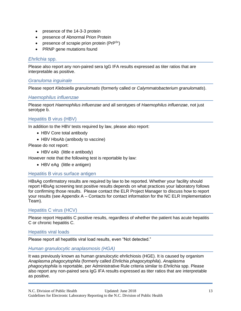- presence of the 14-3-3 protein
- presence of Abnormal Prion Protein
- presence of scrapie prion protein ( $PrP^{Sc}$ )
- PRNP gene mutations found

## <span id="page-13-0"></span>*Ehrlichia* spp.

Please also report any non-paired sera IgG IFA results expressed as titer ratios that are interpretable as positive.

## <span id="page-13-1"></span>*Granuloma inguinale*

<span id="page-13-2"></span>Please report *Klebsiella granulomatis* (formerly called or *Calymmatobacterium granulomatis*).

## *Haemophilus influenzae*

Please report *Haemophilus influenzae* and all serotypes of *Haemophilus influenzae*, not just serotype b.

## <span id="page-13-3"></span>Hepatitis B virus (HBV)

In addition to the HBV tests required by law, please also report:

- HBV Core total antibody
- HBV HbsAb (antibody to vaccine)

Please do not report:

• HBV eAb (little e antibody)

However note that the following test is reportable by law:

• HBV eAg (little e antigen)

## <span id="page-13-4"></span>Hepatitis B virus surface antigen

HBsAg confirmatory results are required by law to be reported. Whether your facility should report HBsAg screening test positive results depends on what practices your laboratory follows for confirming those results. Please contact the ELR Project Manager to discuss how to report your results (see [Appendix A –](#page-11-0) Contacts for contact information for the NC ELR Implementation Team).

## <span id="page-13-5"></span>Hepatitis C virus (HCV)

Please report Hepatitis C positive results, regardless of whether the patient has acute hepatitis C or chronic hepatitis C.

#### <span id="page-13-6"></span>Hepatitis viral loads

Please report all hepatitis viral load results, even "Not detected."

## <span id="page-13-7"></span>*Human granulocytic anaplasmosis (HGA)*

It was previously known as human granulocytic ehrlichiosis (HGE). It is caused by organism *Anaplasma phagocytophila* (formerly called *Ehrlichia phagocytophila*). *Anaplasma phagocytophila* is reportable, per Administrative Rule criteria similar to *Ehrlichia* spp. Please also report any non-paired sera IgG IFA results expressed as titer ratios that are interpretable as positive.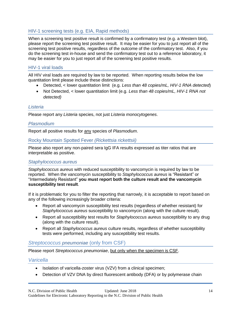# <span id="page-14-0"></span>HIV-1 screening tests (e.g. EIA, Rapid methods)

When a screening test positive result is confirmed by a confirmatory test (e.g. a Western blot), please report the screening test positive result. It may be easier for you to just report all of the screening test positive results, regardless of the outcome of the confirmatory test. Also, if you do the screening test in-house and send the confirmatory test out to a reference laboratory, it may be easier for you to just report all of the screening test positive results.

## <span id="page-14-1"></span>HIV-1 viral loads

All HIV viral loads are required by law to be reported. When reporting results below the low quantitation limit please include these distinctions:

- Detected, < lower quantitation limit (e.g. Less than 48 copies/mL, HIV-1 RNA detected)
- Not Detected, < lower quantitation limit (e.g. Less than 48 copies/mL, HIV-1 RNA not *detected)*

## <span id="page-14-2"></span>*Listeria*

Please report any *Listeria* species, not just *Listeria monocytogenes*.

## <span id="page-14-3"></span>*Plasmodium*

Report all positive results for any species of *Plasmodium*.

## <span id="page-14-4"></span>Rocky Mountain Spotted Fever *(Rickettsia rickettsii)*

Please also report any non-paired sera IgG IFA results expressed as titer ratios that are interpretable as positive.

## <span id="page-14-5"></span>*Staphylococcus aureus*

*Staphylococcus aureus* with reduced susceptibility to vancomycin is required by law to be reported. When the vancomycin susceptibility to *Staphylococcus aureus* is "Resistant" or "Intermediately Resistant" **you must report both the culture result and the vancomycin susceptibility test result**.

If it is problematic for you to filter the reporting that narrowly, it is acceptable to report based on any of the following increasingly broader criteria:

- Report all vancomycin susceptibility test results (regardless of whether resistant) for *Staphylococcus aureus* susceptibility to vancomycin (along with the culture result).
- Report all susceptibility test results for *Staphylococcus aureus* susceptibility to any drug (along with the culture result).
- Report all *Staphylococcus aureus* culture results, regardless of whether susceptibility tests were performed, including any susceptibility test results.

## <span id="page-14-6"></span>*Streptococcus pneumoniae* (only from CSF)

Please report *Streptococcus pneumoniae*, but only when the specimen is CSF.

## <span id="page-14-7"></span>*Varicella*

- Isolation of varicella-zoster virus (VZV) from a clinical specimen;
- Detection of VZV DNA by direct fluorescent antibody (DFA) or by polymerase chain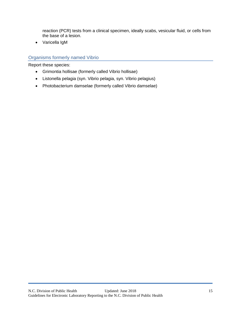reaction (PCR) tests from a clinical specimen, ideally scabs, vesicular fluid, or cells from the base of a lesion.

• Varicella IgM

# <span id="page-15-0"></span>Organisms formerly named Vibrio

Report these species:

- Grimontia hollisae (formerly called Vibrio hollisae)
- Listonella pelagia (syn. Vibrio pelagia, syn. Vibrio pelagius)
- Photobacterium damselae (formerly called Vibrio damselae)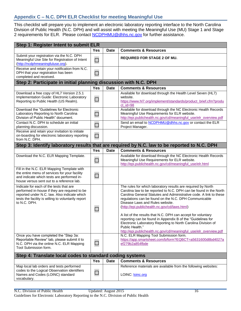# <span id="page-16-0"></span>**Appendix C – N.C. DPH ELR Checklist for meeting Meaningful Use**

This checklist will prepare you to implement an electronic laboratory reporting interface to the North Carolina Division of Public Health (N.C. DPH) and will assist with meeting the Meaningful Use (MU) Stage 1 and Stage 2 requirements for ELR. Please contact [NCDPHMU@dhhs.nc.gov](mailto:NCDPHMU@dhhs.nc.gov) for further assistance.

| Step 1: Register Intent to submit ELR                                                                                                                                                                           |                |             |                                                                                                                                                                                                                                                                                                                                                                                                                                                                                                                                                      |  |
|-----------------------------------------------------------------------------------------------------------------------------------------------------------------------------------------------------------------|----------------|-------------|------------------------------------------------------------------------------------------------------------------------------------------------------------------------------------------------------------------------------------------------------------------------------------------------------------------------------------------------------------------------------------------------------------------------------------------------------------------------------------------------------------------------------------------------------|--|
|                                                                                                                                                                                                                 | <b>Yes</b>     | <b>Date</b> | <b>Comments &amp; Resources</b>                                                                                                                                                                                                                                                                                                                                                                                                                                                                                                                      |  |
| Submit your registration via the N.C. DPH<br>Meaningful Use Site for Registration of Intent<br>(http://ncdphmeaningfuluse.org).                                                                                 | $\sim$         |             | <b>REQUIRED FOR STAGE 2 OF MU.</b>                                                                                                                                                                                                                                                                                                                                                                                                                                                                                                                   |  |
| Receive and retain your notification from N.C.<br>DPH that your registration has been<br>completed and received.                                                                                                | ⊔              |             |                                                                                                                                                                                                                                                                                                                                                                                                                                                                                                                                                      |  |
| Step 2: Participate in initial planning discussion with N.C. DPH                                                                                                                                                |                |             |                                                                                                                                                                                                                                                                                                                                                                                                                                                                                                                                                      |  |
|                                                                                                                                                                                                                 | <b>Yes</b>     | <b>Date</b> | <b>Comments &amp; Resources</b>                                                                                                                                                                                                                                                                                                                                                                                                                                                                                                                      |  |
| Download a free copy of HL7 Version 2.5.1<br>Implementation Guide: Electronic Laboratory<br>Reporting to Public Health (US Realm).                                                                              |                |             | Available for download through the Health Level Seven (HL7)<br>website.<br>https://www.hl7.org/implement/standards/product_brief.cfm?produ<br>$ct$ id=98                                                                                                                                                                                                                                                                                                                                                                                             |  |
| Download the "Guidelines for Electronic<br>Laboratory Reporting to North Carolina<br>Division of Public Health" document.                                                                                       |                |             | Available for download through the NC Electronic Health Records<br>Meaningful Use Requirements for ELR website.<br>http://epi.publichealth.nc.gov/cd/meaningful_use/elr_overview.pdf                                                                                                                                                                                                                                                                                                                                                                 |  |
| Contact N.C. DPH to schedule an initial<br>planning discussion.                                                                                                                                                 | $\blacksquare$ |             | Send an email to NCDPHMU@dhhs.nc.gov or contact the ELR<br>Project Manager.                                                                                                                                                                                                                                                                                                                                                                                                                                                                          |  |
| Receive and retain your invitation to initiate<br>on-boarding for electronic laboratory reporting<br>from N.C. DPH.                                                                                             | $\blacksquare$ |             |                                                                                                                                                                                                                                                                                                                                                                                                                                                                                                                                                      |  |
|                                                                                                                                                                                                                 |                |             | Step 3: Identify laboratory results that are required by N.C. law to be reported to N.C. DPH                                                                                                                                                                                                                                                                                                                                                                                                                                                         |  |
|                                                                                                                                                                                                                 | <b>Yes</b>     | <b>Date</b> | <b>Comments &amp; Resources</b>                                                                                                                                                                                                                                                                                                                                                                                                                                                                                                                      |  |
| Download the N.C. ELR Mapping Template.                                                                                                                                                                         | ⊔              |             | Available for download through the NC Electronic Health Records<br>Meaningful Use Requirements for ELR website.<br>http://epi.publichealth.nc.gov/cd/meaningful_use/elr.html                                                                                                                                                                                                                                                                                                                                                                         |  |
| Fill in the N.C. ELR Mapping Template with<br>the entire menu of services for your facility<br>and indicate which tests are performed in-<br>house versus sent out to a reference lab.                          | $\Box$         |             |                                                                                                                                                                                                                                                                                                                                                                                                                                                                                                                                                      |  |
| Indicate for each of the tests that are<br>performed in-house if they are required to be<br>reported under N.C. law. Also indicate which<br>tests the facility is willing to voluntarily report<br>to N.C. DPH. |                |             | The rules for which laboratory results are required by North<br>Carolina law to be reported to N.C. DPH can be found in the North<br>Carolina General Statutes and Administrative code. A link to these<br>regulations can be found on the N.C. DPH Communicable<br>Disease Laws and Rules website.<br>(http://epi.publichealth.nc.gov/cd/laws.html)<br>A list of the results that N.C. DPH can accept for voluntary<br>reporting can be found in Appendix B of the "Guidelines for<br>Electronic Laboratory Reporting to North Carolina Division of |  |
| Once you have completed the "Step 3a:<br>Reportable Review" tab, please submit it to<br>N.C. DPH via the online N.C. ELR Mapping                                                                                |                |             | Public Health."<br>http://epi.publichealth.nc.gov/cd/meaningful_use/elr_overview.pdf<br>N.C. ELR Mapping Tool Submission form.<br>https://app.smartsheet.com/b/form?EQBCT=a5631600d8bd4027a<br>ef279b2a854fbde                                                                                                                                                                                                                                                                                                                                       |  |
| Tool Submission form.                                                                                                                                                                                           |                |             |                                                                                                                                                                                                                                                                                                                                                                                                                                                                                                                                                      |  |
| Step 4: Translate local codes to standard coding systems                                                                                                                                                        |                |             |                                                                                                                                                                                                                                                                                                                                                                                                                                                                                                                                                      |  |
|                                                                                                                                                                                                                 | <b>Yes</b>     | <b>Date</b> | <b>Comments &amp; Resources</b>                                                                                                                                                                                                                                                                                                                                                                                                                                                                                                                      |  |
| Map local lab orders and tests performed<br>codes to the Logical Observation identifiers<br>Names and Codes (LOINC) standard<br>vocabulary.                                                                     |                |             | Reference materials are available from the following websites:<br>LOINC: loinc.org                                                                                                                                                                                                                                                                                                                                                                                                                                                                   |  |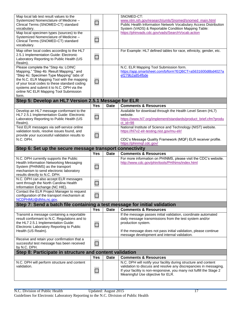| Map local lab test result values to the                                                    |            |             | SNOMED-CT:                                                                                                                                |
|--------------------------------------------------------------------------------------------|------------|-------------|-------------------------------------------------------------------------------------------------------------------------------------------|
| Systemized Nomenclature of Medicine -                                                      |            |             | www.nlm.nih.gov/research/umls/Snomed/snomed_main.html                                                                                     |
| Clinical Terms (SNOMED-CT) standard                                                        |            |             | Public Health Information Network Vocabulary Access Distribution                                                                          |
| vocabularv.                                                                                |            |             | System (VADS) & Reportable Condition Mapping Table:                                                                                       |
| Map local specimen types (sources) to the<br>Systemized Nomenclature of Medicine -         |            |             | https://phinvads.cdc.gov/vads/SearchVocab.action                                                                                          |
| Clinical Terms (SNOMED-CT) standard                                                        | $\Box$     |             |                                                                                                                                           |
| vocabulary.                                                                                |            |             |                                                                                                                                           |
| Map other local codes according to the HL7                                                 |            |             | For Example: HL7 defined tables for race, ethnicity, gender, etc.                                                                         |
| 2.5.1 Implementation Guide: Electronic                                                     |            |             |                                                                                                                                           |
| Laboratory Reporting to Public Health (US                                                  | $\Box$     |             |                                                                                                                                           |
| Realm).                                                                                    |            |             |                                                                                                                                           |
| Please complete the "Step 4a: LOINC                                                        |            |             | N.C. ELR Mapping Tool Submission form.                                                                                                    |
| Mapping," "Step 4b: Result Mapping," and<br>"Step 4c: Specimen Type Mapping" tabs of       |            |             | https://app.smartsheet.com/b/form?EQBCT=a5631600d8bd4027a<br>ef279b2a854fbde                                                              |
| the N.C. ELR Mapping Tool with the mapping                                                 |            |             |                                                                                                                                           |
| of your local codes to these standard coding                                               |            |             |                                                                                                                                           |
| systems and submit it to N.C. DPH via the                                                  |            |             |                                                                                                                                           |
| online NC ELR Mapping Tool Submission                                                      |            |             |                                                                                                                                           |
| form.                                                                                      |            |             |                                                                                                                                           |
| Step 5: Develop an HL7 Version 2.5.1 Message for ELR                                       |            |             |                                                                                                                                           |
|                                                                                            | Yes        | <b>Date</b> | <b>Comments &amp; Resources</b><br>Available for download through the Health Level Seven (HL7)                                            |
| Develop an HL7 message conformant to the<br>HL7 2.5.1 Implementation Guide: Electronic     |            |             | website.                                                                                                                                  |
| Laboratory Reporting to Public Health (US                                                  | $\Box$     |             | https://www.hl7.org/implement/standards/product_brief.cfm?produ                                                                           |
| Realm).                                                                                    |            |             | $ct_id=98$                                                                                                                                |
| Test ELR messages via self-service online                                                  |            |             | National Institute of Science and Technology (NIST) website.                                                                              |
| validation tools, resolve issues found, and                                                |            |             | https://hl7v2-elr-testing.nist.gov/mu-elr/                                                                                                |
| provide your successful validation results to<br>N.C. DPH.                                 |            |             | CDC's Message Quality Framework (MQF) ELR receiver profile.                                                                               |
|                                                                                            |            |             | https://phinmqf.cdc.gov/                                                                                                                  |
|                                                                                            |            |             |                                                                                                                                           |
|                                                                                            |            |             |                                                                                                                                           |
| Step 6: Set up the secure message transport connectivity                                   | Yes        | <b>Date</b> | <b>Comments &amp; Resources</b>                                                                                                           |
| N.C. DPH currently supports the Public                                                     |            |             | For more information on PHINMS, please visit the CDC's website.                                                                           |
| Health Information Networking Messaging                                                    |            |             | http://www.cdc.gov/phin/tools/PHINms/index.html                                                                                           |
| System (PHINMS) as the transport                                                           | ப          |             |                                                                                                                                           |
| mechanism to send electronic laboratory                                                    |            |             |                                                                                                                                           |
| results directly to N.C. DPH.                                                              |            |             |                                                                                                                                           |
| N.C. DPH can also accept ELR messages<br>sent through the North Carolina Health            |            |             |                                                                                                                                           |
| Information Exchange (NC HIE).                                                             |            |             |                                                                                                                                           |
| Contact the ELR Project Manager to request                                                 |            |             |                                                                                                                                           |
| configuration of the transport mechanism at                                                |            |             |                                                                                                                                           |
| NCDPHMU@dhhs.nc.gov.                                                                       |            |             |                                                                                                                                           |
| Step 7: Send a batch file containing a test message for initial validation                 |            | <b>Date</b> |                                                                                                                                           |
|                                                                                            | Yes        |             | <b>Comments &amp; Resources</b>                                                                                                           |
| Transmit a message containing a reportable<br>result conformant to N.C. Regulations and to |            |             | If the message passes initial validation, coordinate automated<br>daily message transmissions from the test system and/or                 |
| the HL7 2.5.1 Implementation Guide:                                                        |            |             | production system.                                                                                                                        |
| Electronic Laboratory Reporting to Public                                                  | ⊔          |             |                                                                                                                                           |
| Health (US Realm).                                                                         |            |             | If the message does not pass initial validation, please continue                                                                          |
| Receive and retain your confirmation that a                                                |            |             | message development and internal validation.                                                                                              |
| successful test message has been received                                                  | ⊔          |             |                                                                                                                                           |
| by N.C. DPH.                                                                               |            |             |                                                                                                                                           |
| Step 8: Participate in structure and content validation                                    |            |             |                                                                                                                                           |
|                                                                                            | <b>Yes</b> | <b>Date</b> | <b>Comments &amp; Resources</b>                                                                                                           |
| N.C. DPH will perform structure and content                                                |            |             | N.C. DPH will notify your facility during structure and content                                                                           |
| validation.                                                                                |            |             | validation to discuss and resolve any discrepancies in messaging.<br>If your facility is non-responsive, you many not fulfill the Stage 2 |
|                                                                                            |            |             | Meaningful Use objective for ELR.                                                                                                         |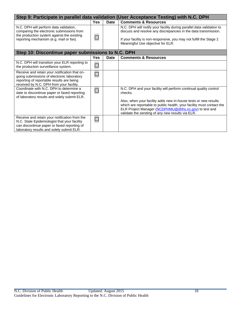| Step 9: Participate in parallel data validation (User Acceptance Testing) with N.C. DPH                                                                                                   |                          |             |                                                                                                                                                                                                                                                      |  |  |
|-------------------------------------------------------------------------------------------------------------------------------------------------------------------------------------------|--------------------------|-------------|------------------------------------------------------------------------------------------------------------------------------------------------------------------------------------------------------------------------------------------------------|--|--|
|                                                                                                                                                                                           | <b>Yes</b>               | <b>Date</b> | <b>Comments &amp; Resources</b>                                                                                                                                                                                                                      |  |  |
| N.C. DPH will perform data validation,<br>comparing the electronic submissions from<br>the production system against the existing<br>reporting mechanism (e.g. mail or fax).              |                          |             | N.C. DPH will notify your facility during parallel data validation to<br>discuss and resolve any discrepancies in the data transmission.<br>If your facility is non-responsive, you may not fulfill the Stage 2<br>Meaningful Use objective for ELR. |  |  |
| Step 10: Discontinue paper submissions to N.C. DPH                                                                                                                                        |                          |             |                                                                                                                                                                                                                                                      |  |  |
|                                                                                                                                                                                           | Yes                      | Date        | <b>Comments &amp; Resources</b>                                                                                                                                                                                                                      |  |  |
| N.C. DPH will transition your ELR reporting to<br>the production surveillance system.                                                                                                     |                          |             |                                                                                                                                                                                                                                                      |  |  |
| Receive and retain your notification that on-<br>going submissions of electronic laboratory<br>reporting of reportable results are being<br>received by N.C. DPH from your facility.      |                          |             |                                                                                                                                                                                                                                                      |  |  |
| Coordinate with N.C. DPH to determine a<br>date to discontinue paper or faxed reporting<br>of laboratory results and solely submit ELR.                                                   |                          |             | N.C. DPH and your facility will perform continual quality control<br>checks.<br>Also, when your facility adds new in-house tests or new results                                                                                                      |  |  |
|                                                                                                                                                                                           |                          |             | which are reportable to public health, your facility must contact the<br>ELR Project Manager (NCDPHMU@dhhs.nc.gov) to test and<br>validate the sending of any new results via ELR.                                                                   |  |  |
| Receive and retain your notification from the<br>N.C. State Epidemiologist that your facility<br>can discontinue paper or faxed reporting of<br>laboratory results and solely submit ELR. | $\overline{\phantom{a}}$ |             |                                                                                                                                                                                                                                                      |  |  |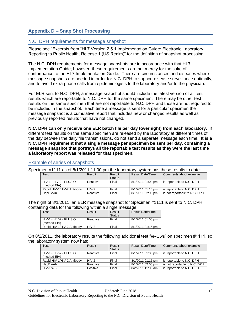# <span id="page-19-0"></span>**Appendix D – Snap Shot Processing**

## <span id="page-19-1"></span>N.C. DPH requirements for message snapshot

Please see ["Excerpts from "HL7 Version 2.5.1 Implementation Guide: Electronic Laboratory](#page-23-0)  [Reporting to Public Health, Release 1 \(US Realm\)"](#page-23-0) for the definition of snapshot processing.

The N.C. DPH requirements for message snapshots are in accordance with that HL7 Implementation Guide; however, these requirements are not merely for the sake of conformance to the HL7 Implementation Guide. There are circumstances and diseases where message snapshots are needed in order for N.C. DPH to support disease surveillance optimally, and to avoid extra phone calls from epidemiologists to the laboratory and/or to the physician.

For ELR sent to N.C. DPH, a message snapshot should include the latest version of all test results which are reportable to N.C. DPH for the same specimen. There may be other test results on the same specimen that are not reportable to N.C. DPH and those are not required to be included in the snapshot. Each time a message is sent for a particular specimen the message snapshot is a cumulative report that includes new or changed results as well as previously reported results that have not changed.

**N.C. DPH can only receive one ELR batch file per day (overnight) from each laboratory.** If different test results on the same specimen are released by the laboratory at different times of the day between the daily file transmissions, do not send a separate message each time. **It is a N.C. DPH requirement that a single message per specimen be sent per day, containing a message snapshot that portrays all the reportable test results as they were the last time a laboratory report was released for that specimen.**

| Specimen #1111 as of 8/1/2011 11:00 pm the laboratory system has these results to date: |          |                         |                         |                               |  |
|-----------------------------------------------------------------------------------------|----------|-------------------------|-------------------------|-------------------------------|--|
| <b>Test</b>                                                                             | Result   | Result<br><b>Status</b> | <b>Result Date/Time</b> | Comments about example        |  |
| HIV-1 - HIV-2 - PLUS O<br>(method EIA)                                                  | Reactive | Final                   | 8/1/2011 01:00 pm       | is reportable to N.C. DPH     |  |
| Rapid HIV-1/HIV-2 Antibody                                                              | $HIV-2$  | Final                   | 8/1/2011 01:15 pm       | is reportable to N.C. DPH     |  |
| HepB eAb                                                                                | Reactive | Final                   | 8/1/2011 02:00 pm       | is not reportable to N.C. DPH |  |

#### <span id="page-19-2"></span>Example of series of snapshots

The night of 8/1/2011, an ELR message snapshot for Specimen #1111 is sent to N.C. DPH containing data for the following within a single message:

| Test                       | Result   | Result        | <b>Result Date/Time</b> |
|----------------------------|----------|---------------|-------------------------|
|                            |          | <b>Status</b> |                         |
| HIV-1 - HIV-2 - PLUS O     | Reactive | Final         | 8/1/2011 01:00 pm       |
| (method EIA)               |          |               |                         |
| Rapid HIV-1/HIV-2 Antibody | $HIV-2$  | Final         | 8/1/2011 01:15 pm       |

On 8/2/2011, the laboratory results the following additional test "HIV-1 WB" on specimen #1111, so the laboratory system now has:

| <b>Test</b>                | Result   | Result        | <b>Result Date/Time</b> | Comments about example        |
|----------------------------|----------|---------------|-------------------------|-------------------------------|
|                            |          | <b>Status</b> |                         |                               |
| HIV-1 - HIV-2 - PLUS O     | Reactive | Final         | 8/1/2011 01:00 pm       | is reportable to N.C. DPH     |
| (method EIA)               |          |               |                         |                               |
| Rapid HIV-1/HIV-2 Antibody | $HIV-2$  | Final         | 8/1/2011 01:15 pm       | is reportable to N.C. DPH     |
| HepB eAb                   | Reactive | Final         | 8/1/2011 02:00 pm       | is not reportable to N.C. DPH |
| HIV-1 WB                   | Positive | Final         | 8/2/2011 11:00 am       | is reportable to N.C. DPH     |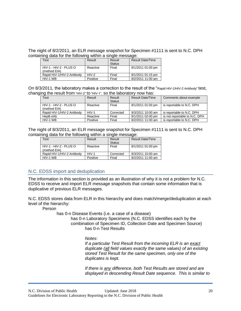The night of 8/2/2011, an ELR message snapshot for Specimen #1111 is sent to N.C. DPH containing data for the following within a single message:

| <b>Fest</b>                | Result   | Result        | <b>Result Date/Time</b> |
|----------------------------|----------|---------------|-------------------------|
|                            |          | <b>Status</b> |                         |
| HIV-1 - HIV-2 - PLUS O     | Reactive | Final         | 8/1/2011 01:00 pm       |
| (method EIA)               |          |               |                         |
| Rapid HIV-1/HIV-2 Antibody | $HIV-2$  | Final         | 8/1/2011 01:15 pm       |
| HIV-1 WB                   | Positive | Final         | 8/2/2011 11:00 am       |

On 8/3/2011, the laboratory makes a correction to the result of the "Rapid HIV-1/HIV-2 Antibody" test, changing the result from "HIV-2" to "HIV-1", so the laboratory now has:

| <b>Test</b>                             | Result   | Result<br><b>Status</b> | <b>Result Date/Time</b> | Comments about example        |
|-----------------------------------------|----------|-------------------------|-------------------------|-------------------------------|
| $HIV-1 - HIV-2 - PLUSO$<br>(method EIA) | Reactive | Final                   | 8/1/2011 01:00 pm       | is reportable to N.C. DPH     |
| Rapid HIV-1/HIV-2 Antibody              | $HIV-1$  | Corrected               | 8/3/2011 10:00 am       | is reportable to N.C. DPH     |
| HepB eAb                                | Reactive | Final                   | 8/1/2011 02:00 pm       | is not reportable to N.C. DPH |
| HIV-1 WB                                | Positive | Final                   | 8/2/2011 11:00 am       | is reportable to N.C. DPH     |

The night of 8/3/2011, an ELR message snapshot for Specimen #1111 is sent to N.C. DPH containing data for the following within a single message:

| est <sup>-</sup>                       | Result   | Result<br><b>Status</b> | <b>Result Date/Time</b> |
|----------------------------------------|----------|-------------------------|-------------------------|
| HIV-1 - HIV-2 - PLUS O<br>(method EIA) | Reactive | Final                   | 8/1/2011 01:00 pm       |
| Rapid HIV-1/HIV-2 Antibody             | $HIV-1$  | Corrected               | 8/3/2011 10:00 am       |
| HIV-1 WB                               | Positive | Final                   | 8/2/2011 11:00 am       |

## <span id="page-20-0"></span>N.C. EDSS import and deduplication

The information in this section is provided as an illustration of why it is not a problem for N.C. EDSS to receive and import ELR message snapshots that contain some information that is duplicative of previous ELR messages.

N.C. EDSS stores data from ELR in this hierarchy and does match/merge/deduplication at each level of the hierarchy:

Person

has 0-n Disease Events (i.e. a case of a disease)

has 0-n Laboratory Specimens (N.C. EDSS identifies each by the combination of Specimen ID, Collection Date and Specimen Source) has 0-n Test Results

*Notes:*

*If a particular Test Result from the incoming ELR is an exact duplicate (all field values exactly the same values) of an existing stored Test Result for the same specimen, only one of the duplicates is kept.* 

*If there is any difference, both Test Results are stored and are displayed in descending Result Date sequence. This is similar to*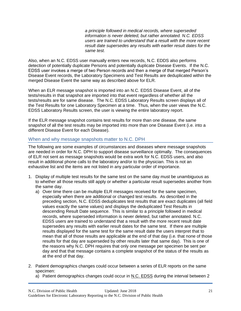*a principle followed in medical records, where superseded information is never deleted, but rather annotated. N.C. EDSS users are trained to understand that a result with the more recent result date supersedes any results with earlier result dates for the same test.*

Also, when an N.C. EDSS user manually enters new records, N.C. EDDS also performs detection of potentially duplicate Persons and potentially duplicate Disease Events. If the N.C. EDSS user invokes a merge of two Person records and then a merge of that merged Person's Disease Event records, the Laboratory Specimens and Test Results are deduplicated within the merged Disease Event the same way as described above for ELR.

When an ELR message snapshot is imported into an N.C. EDSS Disease Event, all of the tests/results in that snapshot are imported into that event regardless of whether all the tests/results are for same disease. The N.C. EDSS Laboratory Results screen displays all of the Test Results for one Laboratory Specimen at a time. Thus, when the user views the N.C. EDSS Laboratory Results screen, the user is viewing the entire laboratory report.

If the ELR message snapshot contains test results for more than one disease, the same snapshot of all the test results may be imported into more than one Disease Event (i.e. into a different Disease Event for each Disease).

## <span id="page-21-0"></span>When and why message snapshots matter to N.C. DPH

The following are some examples of circumstances and diseases where message snapshots are needed in order for N.C. DPH to support disease surveillance optimally. The consequences of ELR not sent as message snapshots would be extra work for N.C. EDSS users, and also result in additional phone calls to the laboratory and/or to the physician. This is not an exhaustive list and the items are not listed in any particular order of importance.

- 1. Display of multiple test results for the same test on the same day must be unambiguous as to whether all those results still apply or whether a particular result supersedes another from the same day.
	- a) Over time there can be multiple ELR messages received for the same specimen, especially when there are additional or changed test results. As described in the preceding section, N.C. EDSS deduplicates test results that are exact duplicates (all field values exactly the same values) and displays the deduplicated Test Results in descending Result Date sequence. This is similar to a principle followed in medical records, where superseded information is never deleted, but rather annotated. N.C. EDSS users are trained to understand that a result with the more recent result date supersedes any results with earlier result dates for the same test. If there are multiple results displayed for the same test for the same result date the users interpret that to mean that all of those results are applicable at the end of that day (i.e. that none of those results for that day are superseded by other results later that same day). This is one of the reasons why N.C. DPH requires that only one message per specimen be sent per day and that that message contains a complete snapshot of the status of the results as at the end of that day.
- 2. Patient demographics changes could occur between a series of ELR reports on the same specimen:
	- a) Patient demographics changes could occur in N.C. EDSS during the interval between 2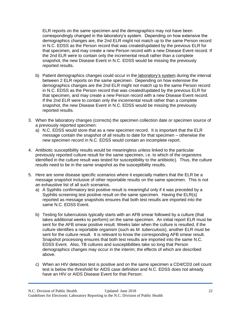ELR reports on the same specimen and the demographics may not have been correspondingly changed in the laboratory's system. Depending on how extensive the demographics changes are, the 2nd ELR might not match up to the same Person record in N.C. EDSS as the Person record that was created/updated by the previous ELR for that specimen, and may create a new Person record with a new Disease Event record. If the 2nd ELR were to contain only the incremental result rather than a complete snapshot, the new Disease Event in N.C. EDSS would be missing the previously reported results.

- b) Patient demographics changes could occur in the laboratory's system during the interval between 2 ELR reports on the same specimen. Depending on how extensive the demographics changes are the 2nd ELR might not match up to the same Person record in N.C. EDSS as the Person record that was created/updated by the previous ELR for that specimen, and may create a new Person record with a new Disease Event record. If the 2nd ELR were to contain only the incremental result rather than a complete snapshot, the new Disease Event in N.C. EDSS would be missing the previously reported results.
- 3. When the laboratory changes (corrects) the specimen collection date or specimen source of a previously reported specimen:
	- a) N.C. EDSS would store that as a new specimen record. It is important that the ELR message contain the snapshot of all results to date for that specimen – otherwise the new specimen record in N.C. EDSS would contain an incomplete report.
- 4. Antibiotic susceptibility results would be meaningless unless linked to the particular previously reported culture result for the same specimen, i.e. to which of the organisms identified in the culture result was tested for susceptibility to the antibiotic). Thus, the culture results need to be in the same snapshot as the susceptibility results.
- 5. Here are some disease specific scenarios where it especially matters that the ELR be a message snapshot inclusive of other reportable results on the same specimen. This is not an exhaustive list of all such scenarios.
	- a) A Syphilis confirmatory test positive result is meaningful only if it was preceded by a Syphilis screening test positive result on the same specimen. Having the ELR(s) reported as message snapshots ensures that both test results are imported into the same N.C. EDSS Event.
	- b) Testing for tuberculosis typically starts with an AFB smear followed by a culture (that takes additional weeks to perform) on the same specimen. An initial report ELR must be sent for the AFB smear positive result. Weeks later when the culture is resulted, if the culture identifies a reportable organism (such as *M. tuberculosis*), another ELR must be sent for the culture result. It is relevant to know the corresponding AFB smear result. Snapshot processing ensures that both test results are imported into the same N.C. EDSS Event. Also, TB cultures and susceptibilities take so long that Person demographics changes may occur in the interim; the effects of which are described above.
	- c) When an HIV detection test is positive and on the same specimen a CD4/CD3 cell count test is below the threshold for AIDS case definition and N.C. EDSS does not already have an HIV or AIDS Disease Event for that Person: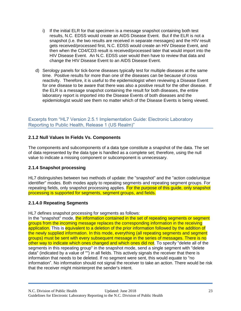- i) If the initial ELR for that specimen is a message snapshot containing both test results, N.C. EDSS would create an AIDS Disease Event. But if the ELR is not a snapshot (i.e. the two results are received in separate messages) and the HIV result gets received/processed first, N.C. EDSS would create an HIV Disease Event, and then when the CD4/CD3 result is received/processed later that would import into the HIV Disease Event. An N.C. EDSS user would then have to review that data and change the HIV Disease Event to an AIDS Disease Event.
- d) Serology panels for tick-borne diseases typically test for multiple diseases at the same time. Positive results for more than one of the diseases can be because of cross reactivity. Therefore, it is useful to the epidemiologist when reviewing a Disease Event for one disease to be aware that there was also a positive result for the other disease. If the ELR is a message snapshot containing the result for both diseases, the entire laboratory report is imported into the Disease Events of both diseases and the epidemiologist would see them no matter which of the Disease Events is being viewed.

<span id="page-23-0"></span>Excerpts from "HL7 Version 2.5.1 Implementation Guide: Electronic Laboratory Reporting to Public Health, Release 1 (US Realm)"

# **2.1.2 Null Values In Fields Vs. Components**

The components and subcomponents of a data type constitute a snapshot of the data. The set of data represented by the data type is handled as a complete set; therefore, using the null value to indicate a missing component or subcomponent is unnecessary.

## **2.1.4 Snapshot processing**

HL7 distinguishes between two methods of update: the "snapshot" and the "action code/unique identifier" modes. Both modes apply to repeating segments and repeating segment groups. For repeating fields, only snapshot processing applies. For the purpose of this guide, only snapshot processing is supported for segments, segment groups, and fields.

## **2.1.4.0 Repeating Segments**

HL7 defines snapshot processing for segments as follows:

In the "snapshot" mode, the information contained in the set of repeating segments or segment groups from the incoming message replaces the corresponding information in the receiving application. This is equivalent to a deletion of the prior information followed by the addition of the newly supplied information. In this mode, everything (all repeating segments and segment groups) must be sent with every subsequent message in the series of messages. There is no other way to indicate which ones changed and which ones did not. To specify "delete all of the segments in this repeating group" in the snapshot mode, send a single segment with "delete data" (indicated by a value of "") in all fields. This actively signals the receiver that there is information that needs to be deleted. If no segment were sent, this would equate to "no information". No information should not signal the receiver to take an action. There would be risk that the receiver might misinterpret the sender's intent.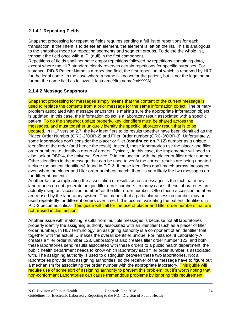# **2.1.4.1 Repeating Fields**

Snapshot processing for repeating fields requires sending a full list of repetitions for each transaction. If the intent is to delete an element, the element is left off the list. This is analogous to the snapshot mode for repeating segments and segment groups. To delete the whole list, transmit the field once with a |""| (null) in the first component.

Repetitions of fields shall not have empty repetitions followed by repetitions containing data, except where the HL7 standard clearly reserves certain repetitions for specific purposes. For instance, PID-5 Patient Name is a repeating field, the first repetition of which is reserved by HL7 for the legal name. In the case where a name is known for the patient, but is not the legal name, format the name field as follows: |~lastname^firstname^mi^^^^A|.

# **2.1.4.2 Message Snapshots**

Snapshot processing for messages simply means that the content of the current message is used to replace the contents from a prior message for the same information object. The primary problem associated with message snapshots is making sure the appropriate information object is updated. In this case, the information object is a laboratory result associated with a specific patient. To do the snapshot update properly, key identifiers must be shared across the messages, and must together uniquely identify the specific laboratory result that is to be updated. In HL7 version 2.7, the key identifiers to tie results together have been identified as the Placer Order Number (ORC-2/OBR-2) and Filler Order number (ORC-3/OBR-3). Unfortunately, some laboratories don't consider the placer or filler (**continued on P.12)** number as a unique identifier of the order (and hence the result). Instead, these laboratories use the placer and filler order numbers to identify a group of orders. Typically, in this case, the implementer will need to also look at OBR-4, the universal Service ID in conjunction with the placer or filler order number. Other identifiers in the message that can be used to verify the correct results are being updated include the patient identifiers3 found in PID-3. If these identifiers don't match across messages, even when the placer and filler order numbers match, then it's very likely the two messages are for different patients.

Another factor complicating the association of results across messages is the fact that many laboratories do not generate unique filler order numbers. In many cases, these laboratories are actually using an "accession number" as the filler order number. Often these accession numbers are reused by the laboratory system. That means that a particular accession number may be used repeatedly for different orders over time. If this occurs, validating the patient identifiers in PID-3 becomes critical. This quide will call for the use of placer and filler order numbers that are not reused in this fashion.

Another issue with matching results from multiple messages is because not all laboratories properly identify the assigning authority associated with an identifier (such as a placer of filler order number). In HL7 terminology, an assigning authority is a component of an identifier that together with the actual ID makes the overall identifier unique. For instance, if Laboratory A creates a filler order number 123, Laboratory B also creates filler order number 123, and both these laboratories send results associated with these orders to a public health department, the public health department needs to know which laboratory each filler order number is associated with. The assigning authority is used to distinguish between these two laboratories. Not all laboratories provide that assigning authorities, so the receiver of the message have to figure out a mechanism for associating the order number with the appropriate laboratory. This guide will require use of some sort of assigning authority to prevent this problem, but it's worth noting that non-conformant Laboratories can cause tremendous problems by ignoring this requirement.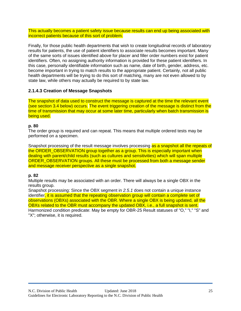This actually becomes a patient safety issue because results can end up being associated with incorrect patients because of this sort of problem.

Finally, for those public health departments that wish to create longitudinal records of laboratory results for patients, the use of patient identifiers to associate results becomes important. Many of the same sorts of issues identified above for placer and filler order numbers exist for patient identifiers. Often, no assigning authority information is provided for these patient identifiers. In this case, personally identifiable information such as name, date of birth, gender, address, etc. become important in trying to match results to the appropriate patient. Certainly, not all public health departments will be trying to do this sort of matching, many are not even allowed to by state law, while others may actually be required to by state law.

## **2.1.4.3 Creation of Message Snapshots**

The snapshot of data used to construct the message is captured at the time the relevant event (see section 3.4 below) occurs. The event triggering creation of the message is distinct from the time of transmission that may occur at some later time, particularly when batch transmission is being used.

## **p. 80**

The order group is required and can repeat. This means that multiple ordered tests may be performed on a specimen.

Snapshot processing of the result message involves processing as a snapshot all the repeats of the ORDER\_OBSERVATION group together as a group. This is especially important when dealing with parent/child results (such as cultures and sensitivities) which will span multiple ORDER\_OBSERVATION groups. All these must be processed from both a message sender and message receiver perspective as a single snapshot.

## **p. 82**

Multiple results may be associated with an order. There will always be a single OBX in the results group.

Snapshot processing: Since the OBX segment in *2.5.1* does not contain a unique instance identifier, it is assumed that the repeating observation group will contain a complete set of observations (OBXs) associated with the OBR. Where a single OBX is being updated, all the OBXs related to the OBR must accompany the updated OBX, i.e., a full snapshot is sent. Harmonized condition predicate: May be empty for OBR-25 Result statuses of "O," "I," "S" and "X"; otherwise, it is required.